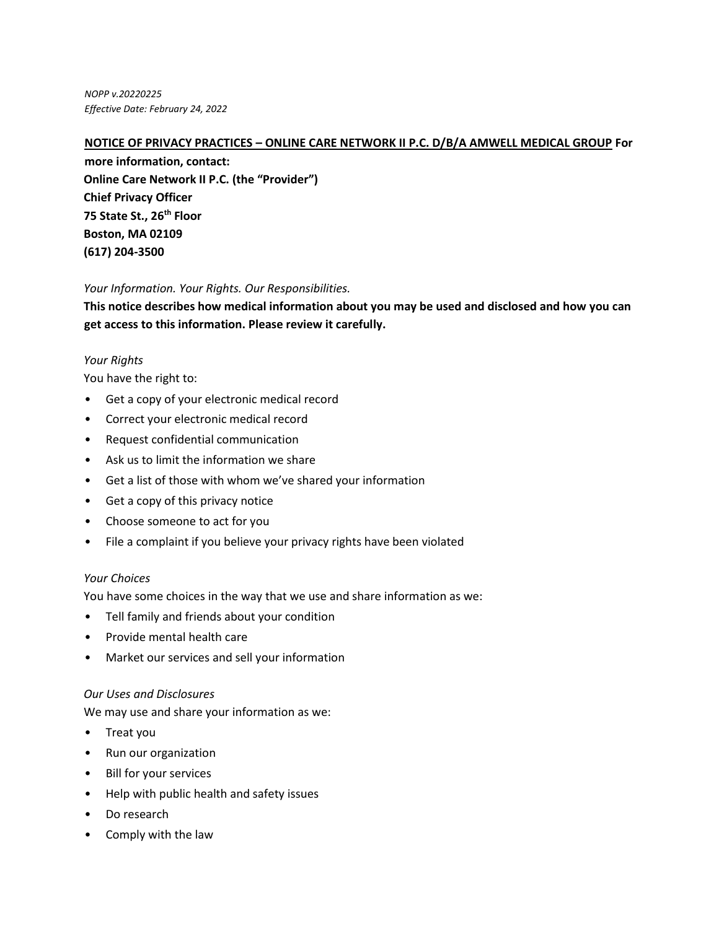*NOPP v.20220225 Effective Date: February 24, 2022*

#### **NOTICE OF PRIVACY PRACTICES – ONLINE CARE NETWORK II P.C. D/B/A AMWELL MEDICAL GROUP For**

**more information, contact: Online Care Network II P.C. (the "Provider") Chief Privacy Officer 75 State St., 26th Floor Boston, MA 02109 (617) 204-3500** 

## *Your Information. Your Rights. Our Responsibilities.*

**This notice describes how medical information about you may be used and disclosed and how you can get access to this information. Please review it carefully.** 

#### *Your Rights*

You have the right to:

- Get a copy of your electronic medical record
- Correct your electronic medical record
- Request confidential communication
- Ask us to limit the information we share
- Get a list of those with whom we've shared your information
- Get a copy of this privacy notice
- Choose someone to act for you
- File a complaint if you believe your privacy rights have been violated

## *Your Choices*

You have some choices in the way that we use and share information as we:

- Tell family and friends about your condition
- Provide mental health care
- Market our services and sell your information

## *Our Uses and Disclosures*

We may use and share your information as we:

- Treat you
- Run our organization
- Bill for your services
- Help with public health and safety issues
- Do research
- Comply with the law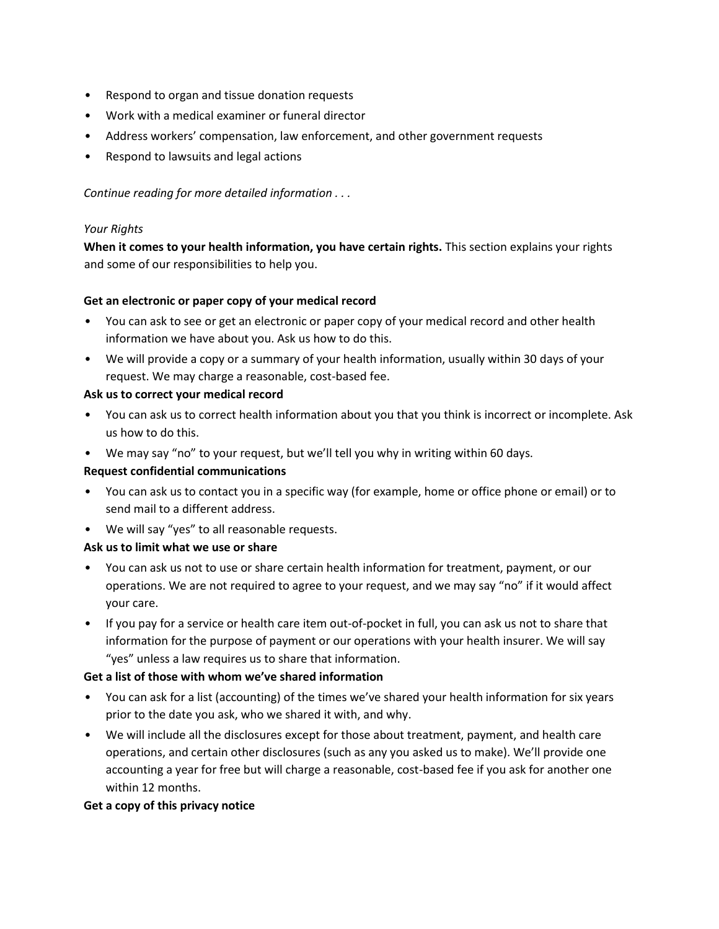- Respond to organ and tissue donation requests
- Work with a medical examiner or funeral director
- Address workers' compensation, law enforcement, and other government requests
- Respond to lawsuits and legal actions

*Continue reading for more detailed information . . .* 

## *Your Rights*

**When it comes to your health information, you have certain rights.** This section explains your rights and some of our responsibilities to help you.

## **Get an electronic or paper copy of your medical record**

- You can ask to see or get an electronic or paper copy of your medical record and other health information we have about you. Ask us how to do this.
- We will provide a copy or a summary of your health information, usually within 30 days of your request. We may charge a reasonable, cost-based fee.

## **Ask us to correct your medical record**

- You can ask us to correct health information about you that you think is incorrect or incomplete. Ask us how to do this.
- We may say "no" to your request, but we'll tell you why in writing within 60 days.

## **Request confidential communications**

- You can ask us to contact you in a specific way (for example, home or office phone or email) or to send mail to a different address.
- We will say "yes" to all reasonable requests.

## **Ask us to limit what we use or share**

- You can ask us not to use or share certain health information for treatment, payment, or our operations. We are not required to agree to your request, and we may say "no" if it would affect your care.
- If you pay for a service or health care item out-of-pocket in full, you can ask us not to share that information for the purpose of payment or our operations with your health insurer. We will say "yes" unless a law requires us to share that information.

## **Get a list of those with whom we've shared information**

- You can ask for a list (accounting) of the times we've shared your health information for six years prior to the date you ask, who we shared it with, and why.
- We will include all the disclosures except for those about treatment, payment, and health care operations, and certain other disclosures (such as any you asked us to make). We'll provide one accounting a year for free but will charge a reasonable, cost-based fee if you ask for another one within 12 months.

## **Get a copy of this privacy notice**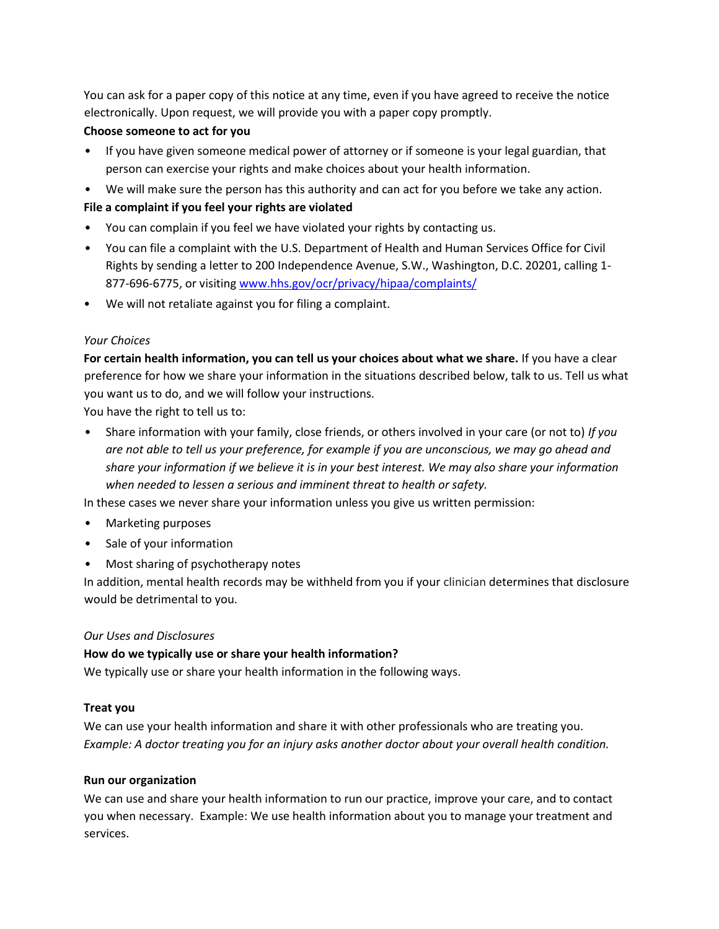You can ask for a paper copy of this notice at any time, even if you have agreed to receive the notice electronically. Upon request, we will provide you with a paper copy promptly.

## **Choose someone to act for you**

- If you have given someone medical power of attorney or if someone is your legal guardian, that person can exercise your rights and make choices about your health information.
- We will make sure the person has this authority and can act for you before we take any action.

# **File a complaint if you feel your rights are violated**

- You can complain if you feel we have violated your rights by contacting us.
- You can file a complaint with the U.S. Department of Health and Human Services Office for Civil Rights by sending a letter to 200 Independence Avenue, S.W., Washington, D.C. 20201, calling 1- 877-696-6775, or visiting [www.hhs.gov/ocr/privacy/hipaa/complaints/](http://hhs.gov/ocr/privacy/hipaa/complaints/)
- We will not retaliate against you for filing a complaint.

## *Your Choices*

**For certain health information, you can tell us your choices about what we share.** If you have a clear preference for how we share your information in the situations described below, talk to us. Tell us what you want us to do, and we will follow your instructions.

You have the right to tell us to:

• Share information with your family, close friends, or others involved in your care (or not to) *If you are not able to tell us your preference, for example if you are unconscious, we may go ahead and share your information if we believe it is in your best interest. We may also share your information when needed to lessen a serious and imminent threat to health or safety.*

In these cases we never share your information unless you give us written permission:

- Marketing purposes
- Sale of your information
- Most sharing of psychotherapy notes

In addition, mental health records may be withheld from you if your clinician determines that disclosure would be detrimental to you.

## *Our Uses and Disclosures*

## **How do we typically use or share your health information?**

We typically use or share your health information in the following ways.

## **Treat you**

We can use your health information and share it with other professionals who are treating you. *Example: A doctor treating you for an injury asks another doctor about your overall health condition.*

## **Run our organization**

We can use and share your health information to run our practice, improve your care, and to contact you when necessary. Example: We use health information about you to manage your treatment and services.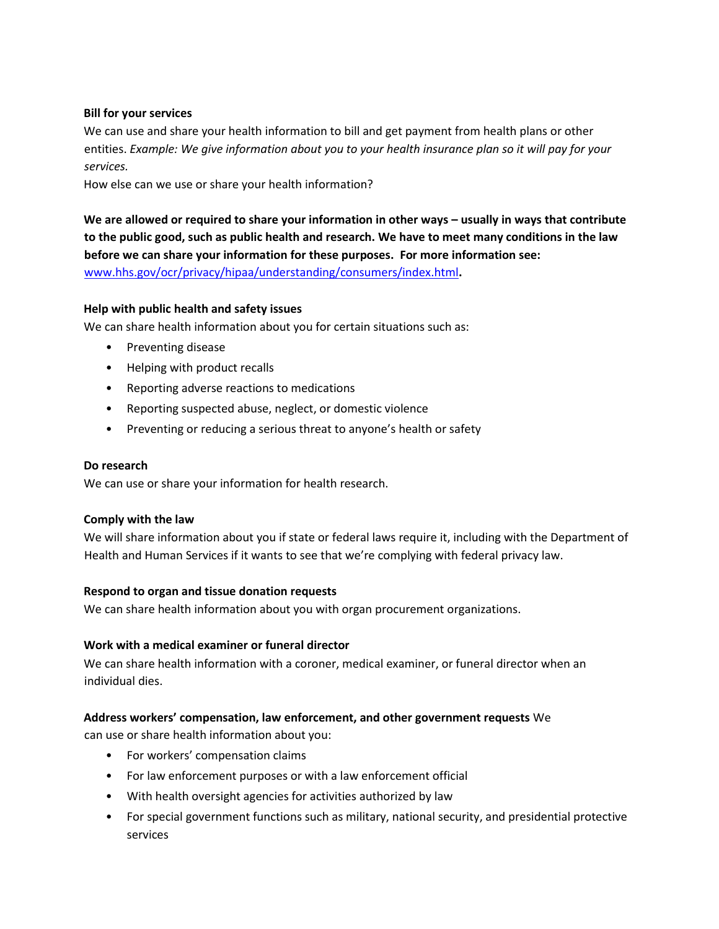## **Bill for your services**

We can use and share your health information to bill and get payment from health plans or other entities. *Example: We give information about you to your health insurance plan so it will pay for your services.* 

How else can we use or share your health information?

**We are allowed or required to share your information in other ways – usually in ways that contribute to the public good, such as public health and research. We have to meet many conditions in the law before we can share your information for these purposes. For more information see:**  [www.hhs.gov/ocr/privacy/hipaa/understanding/consumers/index.html](http://www.hhs.gov/ocr/privacy/hipaa/understanding/consumers/index.html)**[.](http://www.hhs.gov/ocr/privacy/hipaa/understanding/consumers/index.html)**

## **Help with public health and safety issues**

We can share health information about you for certain situations such as:

- Preventing disease
- Helping with product recalls
- Reporting adverse reactions to medications
- Reporting suspected abuse, neglect, or domestic violence
- Preventing or reducing a serious threat to anyone's health or safety

## **Do research**

We can use or share your information for health research.

## **Comply with the law**

We will share information about you if state or federal laws require it, including with the Department of Health and Human Services if it wants to see that we're complying with federal privacy law.

## **Respond to organ and tissue donation requests**

We can share health information about you with organ procurement organizations.

# **Work with a medical examiner or funeral director**

We can share health information with a coroner, medical examiner, or funeral director when an individual dies.

## **Address workers' compensation, law enforcement, and other government requests** We

can use or share health information about you:

- For workers' compensation claims
- For law enforcement purposes or with a law enforcement official
- With health oversight agencies for activities authorized by law
- For special government functions such as military, national security, and presidential protective services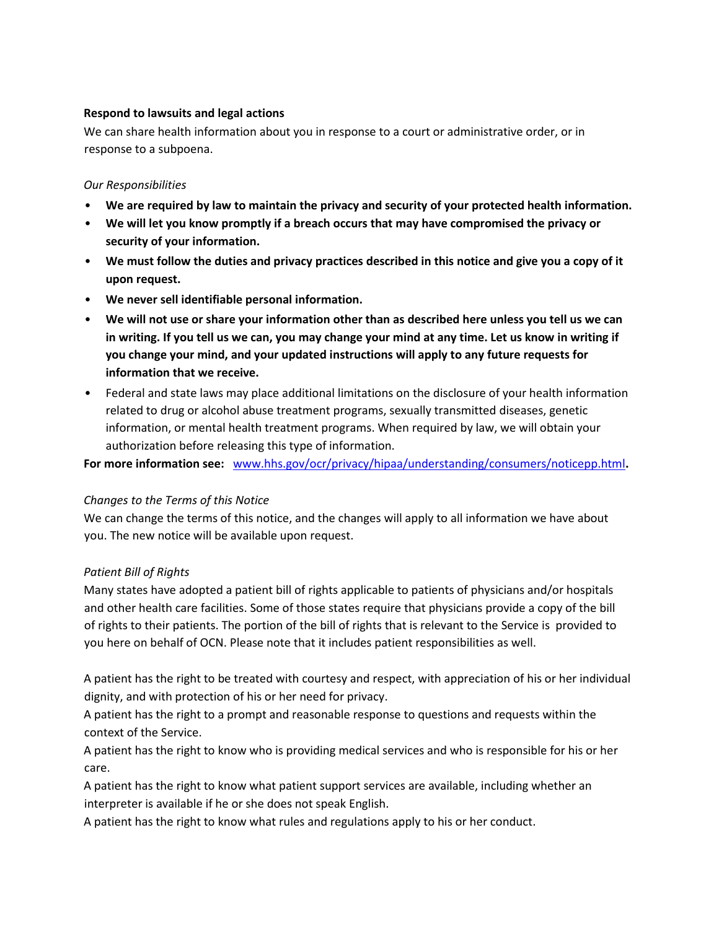## **Respond to lawsuits and legal actions**

We can share health information about you in response to a court or administrative order, or in response to a subpoena.

## *Our Responsibilities*

- **We are required by law to maintain the privacy and security of your protected health information.**
- **We will let you know promptly if a breach occurs that may have compromised the privacy or security of your information.**
- **We must follow the duties and privacy practices described in this notice and give you a copy of it upon request.**
- **We never sell identifiable personal information.**
- **We will not use or share your information other than as described here unless you tell us we can in writing. If you tell us we can, you may change your mind at any time. Let us know in writing if you change your mind, and your updated instructions will apply to any future requests for information that we receive.**
- Federal and state laws may place additional limitations on the disclosure of your health information related to drug or alcohol abuse treatment programs, sexually transmitted diseases, genetic information, or mental health treatment programs. When required by law, we will obtain your authorization before releasing this type of information.

**For more information see:** [www.hhs.gov/ocr/privacy/hipaa/understanding/consumers/noticepp.html](http://www.hhs.gov/ocr/privacy/hipaa/understanding/consumers/noticepp.html)**[.](http://www.hhs.gov/ocr/privacy/hipaa/understanding/consumers/noticepp.html)**

## *Changes to the Terms of this Notice*

We can change the terms of this notice, and the changes will apply to all information we have about you. The new notice will be available upon request.

## *Patient Bill of Rights*

Many states have adopted a patient bill of rights applicable to patients of physicians and/or hospitals and other health care facilities. Some of those states require that physicians provide a copy of the bill of rights to their patients. The portion of the bill of rights that is relevant to the Service is provided to you here on behalf of OCN. Please note that it includes patient responsibilities as well.

A patient has the right to be treated with courtesy and respect, with appreciation of his or her individual dignity, and with protection of his or her need for privacy.

A patient has the right to a prompt and reasonable response to questions and requests within the context of the Service.

A patient has the right to know who is providing medical services and who is responsible for his or her care.

A patient has the right to know what patient support services are available, including whether an interpreter is available if he or she does not speak English.

A patient has the right to know what rules and regulations apply to his or her conduct.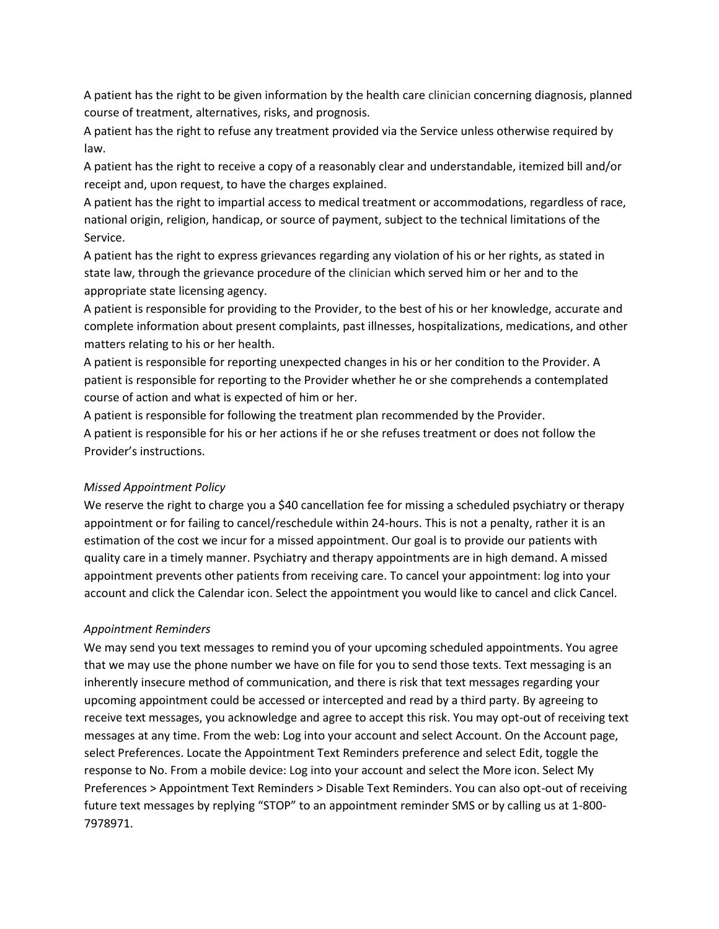A patient has the right to be given information by the health care clinician concerning diagnosis, planned course of treatment, alternatives, risks, and prognosis.

A patient has the right to refuse any treatment provided via the Service unless otherwise required by law.

A patient has the right to receive a copy of a reasonably clear and understandable, itemized bill and/or receipt and, upon request, to have the charges explained.

A patient has the right to impartial access to medical treatment or accommodations, regardless of race, national origin, religion, handicap, or source of payment, subject to the technical limitations of the Service.

A patient has the right to express grievances regarding any violation of his or her rights, as stated in state law, through the grievance procedure of the clinician which served him or her and to the appropriate state licensing agency.

A patient is responsible for providing to the Provider, to the best of his or her knowledge, accurate and complete information about present complaints, past illnesses, hospitalizations, medications, and other matters relating to his or her health.

A patient is responsible for reporting unexpected changes in his or her condition to the Provider. A patient is responsible for reporting to the Provider whether he or she comprehends a contemplated course of action and what is expected of him or her.

A patient is responsible for following the treatment plan recommended by the Provider. A patient is responsible for his or her actions if he or she refuses treatment or does not follow the Provider's instructions.

## *Missed Appointment Policy*

We reserve the right to charge you a \$40 cancellation fee for missing a scheduled psychiatry or therapy appointment or for failing to cancel/reschedule within 24-hours. This is not a penalty, rather it is an estimation of the cost we incur for a missed appointment. Our goal is to provide our patients with quality care in a timely manner. Psychiatry and therapy appointments are in high demand. A missed appointment prevents other patients from receiving care. To cancel your appointment: log into your account and click the Calendar icon. Select the appointment you would like to cancel and click Cancel.

## *Appointment Reminders*

We may send you text messages to remind you of your upcoming scheduled appointments. You agree that we may use the phone number we have on file for you to send those texts. Text messaging is an inherently insecure method of communication, and there is risk that text messages regarding your upcoming appointment could be accessed or intercepted and read by a third party. By agreeing to receive text messages, you acknowledge and agree to accept this risk. You may opt-out of receiving text messages at any time. From the web: Log into your account and select Account. On the Account page, select Preferences. Locate the Appointment Text Reminders preference and select Edit, toggle the response to No. From a mobile device: Log into your account and select the More icon. Select My Preferences > Appointment Text Reminders > Disable Text Reminders. You can also opt-out of receiving future text messages by replying "STOP" to an appointment reminder SMS or by calling us at 1-800- 7978971.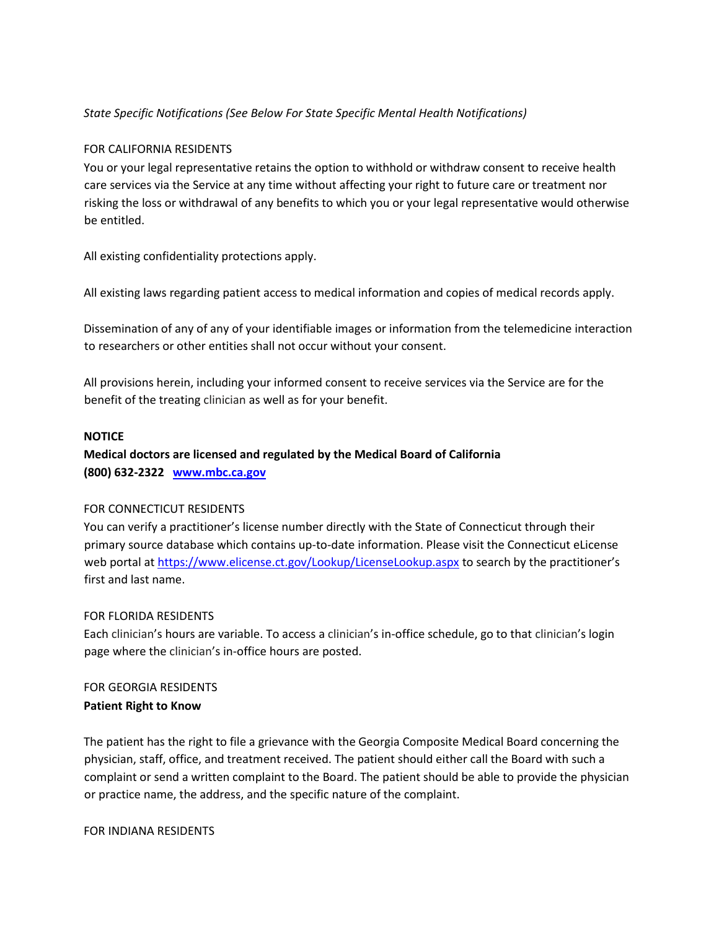# *State Specific Notifications (See Below For State Specific Mental Health Notifications)*

## FOR CALIFORNIA RESIDENTS

You or your legal representative retains the option to withhold or withdraw consent to receive health care services via the Service at any time without affecting your right to future care or treatment nor risking the loss or withdrawal of any benefits to which you or your legal representative would otherwise be entitled.

All existing confidentiality protections apply.

All existing laws regarding patient access to medical information and copies of medical records apply.

Dissemination of any of any of your identifiable images or information from the telemedicine interaction to researchers or other entities shall not occur without your consent.

All provisions herein, including your informed consent to receive services via the Service are for the benefit of the treating clinician as well as for your benefit.

## **NOTICE**

**Medical doctors are licensed and regulated by the Medical Board of California (800) 632-2322 [www.mbc.ca.gov](http://www.mbc.ca.gov/)**

## FOR CONNECTICUT RESIDENTS

You can verify a practitioner's license number directly with the State of Connecticut through their primary source database which contains up-to-date information. Please visit the Connecticut eLicense web portal at<https://www.elicense.ct.gov/Lookup/LicenseLookup.aspx> [t](https://www.elicense.ct.gov/Lookup/LicenseLookup.aspx)o search by the practitioner's first and last name.

## FOR FLORIDA RESIDENTS

Each clinician's hours are variable. To access a clinician's in-office schedule, go to that clinician's login page where the clinician's in-office hours are posted.

# FOR GEORGIA RESIDENTS **Patient Right to Know**

The patient has the right to file a grievance with the Georgia Composite Medical Board concerning the physician, staff, office, and treatment received. The patient should either call the Board with such a complaint or send a written complaint to the Board. The patient should be able to provide the physician or practice name, the address, and the specific nature of the complaint.

FOR INDIANA RESIDENTS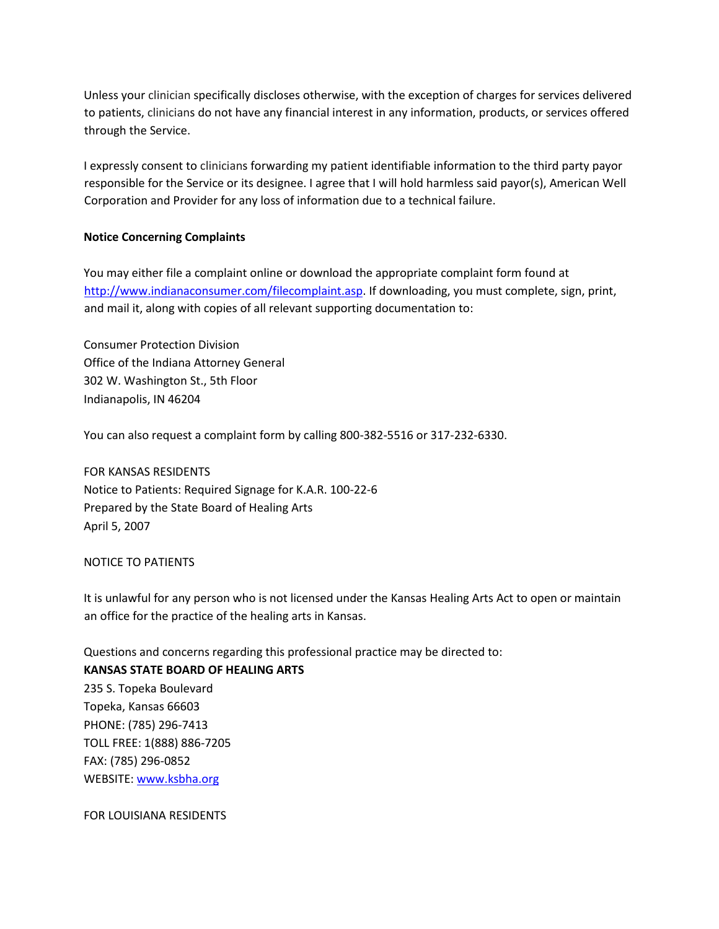Unless your clinician specifically discloses otherwise, with the exception of charges for services delivered to patients, clinicians do not have any financial interest in any information, products, or services offered through the Service.

I expressly consent to clinicians forwarding my patient identifiable information to the third party payor responsible for the Service or its designee. I agree that I will hold harmless said payor(s), American Well Corporation and Provider for any loss of information due to a technical failure.

#### **Notice Concerning Complaints**

You may either file a complaint online or download the appropriate complaint form found at [http://www.indianaconsumer.com/filecomplaint.asp.](http://www.indianaconsumer.com/filecomplaint.asp) If downloading, you must complete, sign, print, and mail it, along with copies of all relevant supporting documentation to:

Consumer Protection Division Office of the Indiana Attorney General 302 W. Washington St., 5th Floor Indianapolis, IN 46204

You can also request a complaint form by calling 800-382-5516 or 317-232-6330.

FOR KANSAS RESIDENTS Notice to Patients: Required Signage for K.A.R. 100-22-6 Prepared by the State Board of Healing Arts April 5, 2007

#### NOTICE TO PATIENTS

It is unlawful for any person who is not licensed under the Kansas Healing Arts Act to open or maintain an office for the practice of the healing arts in Kansas.

Questions and concerns regarding this professional practice may be directed to:

**KANSAS STATE BOARD OF HEALING ARTS**  235 S. Topeka Boulevard Topeka, Kansas 66603 PHONE: (785) 296-7413 TOLL FREE: 1(888) 886-7205 FAX: (785) 296-0852 WEBSITE: [www.ksbha.org](http://www.ksbha.org/)

FOR LOUISIANA RESIDENTS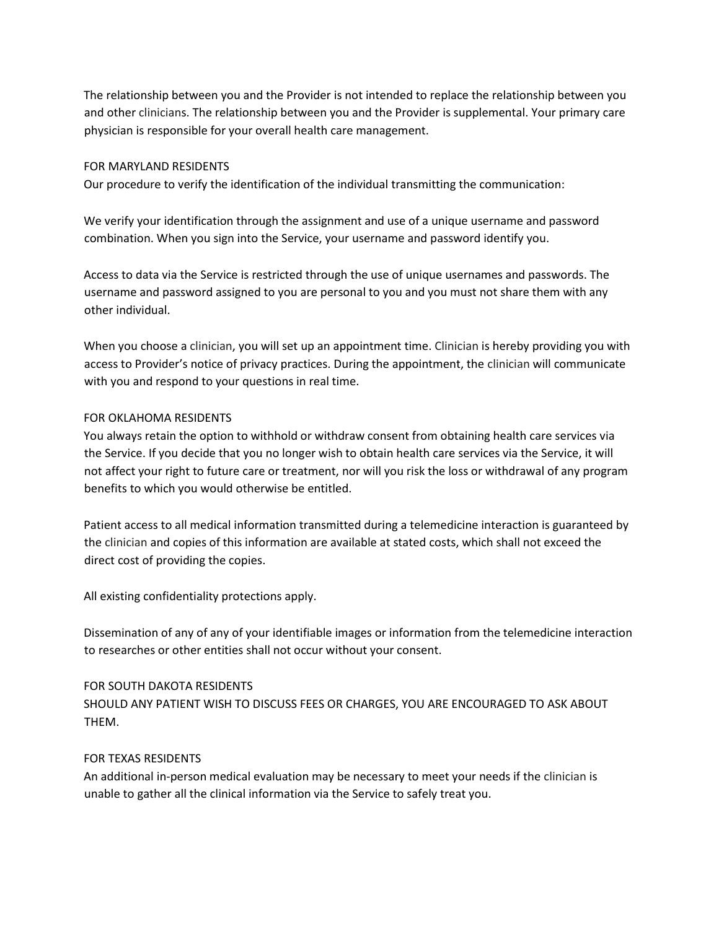The relationship between you and the Provider is not intended to replace the relationship between you and other clinicians. The relationship between you and the Provider is supplemental. Your primary care physician is responsible for your overall health care management.

#### FOR MARYLAND RESIDENTS

Our procedure to verify the identification of the individual transmitting the communication:

We verify your identification through the assignment and use of a unique username and password combination. When you sign into the Service, your username and password identify you.

Access to data via the Service is restricted through the use of unique usernames and passwords. The username and password assigned to you are personal to you and you must not share them with any other individual.

When you choose a clinician, you will set up an appointment time. Clinician is hereby providing you with access to Provider's notice of privacy practices. During the appointment, the clinician will communicate with you and respond to your questions in real time.

## FOR OKLAHOMA RESIDENTS

You always retain the option to withhold or withdraw consent from obtaining health care services via the Service. If you decide that you no longer wish to obtain health care services via the Service, it will not affect your right to future care or treatment, nor will you risk the loss or withdrawal of any program benefits to which you would otherwise be entitled.

Patient access to all medical information transmitted during a telemedicine interaction is guaranteed by the clinician and copies of this information are available at stated costs, which shall not exceed the direct cost of providing the copies.

All existing confidentiality protections apply.

Dissemination of any of any of your identifiable images or information from the telemedicine interaction to researches or other entities shall not occur without your consent.

## FOR SOUTH DAKOTA RESIDENTS

SHOULD ANY PATIENT WISH TO DISCUSS FEES OR CHARGES, YOU ARE ENCOURAGED TO ASK ABOUT THEM.

## FOR TEXAS RESIDENTS

An additional in-person medical evaluation may be necessary to meet your needs if the clinician is unable to gather all the clinical information via the Service to safely treat you.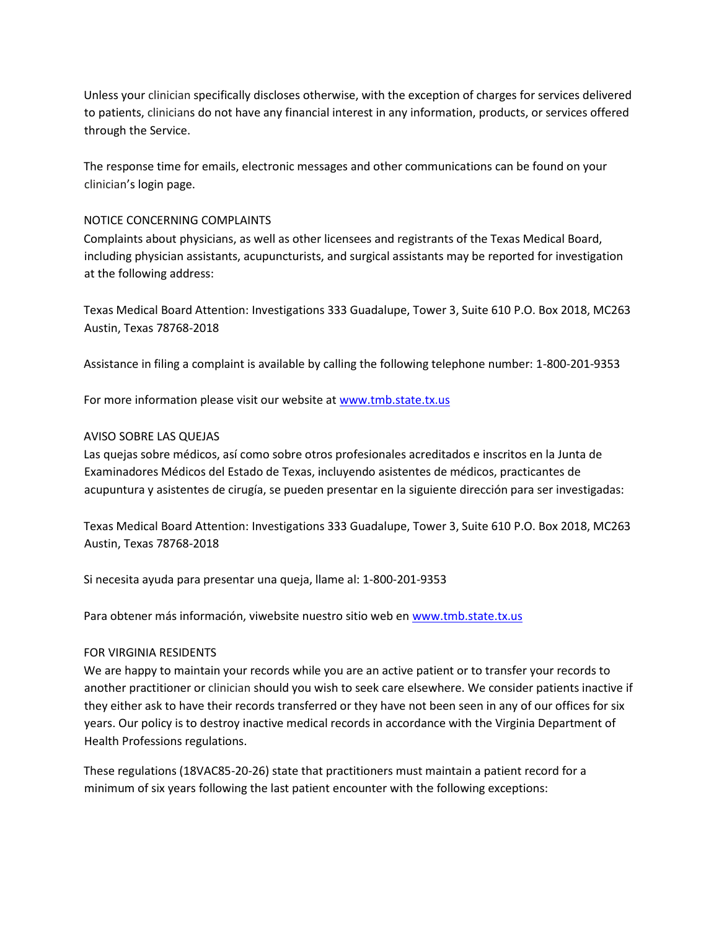Unless your clinician specifically discloses otherwise, with the exception of charges for services delivered to patients, clinicians do not have any financial interest in any information, products, or services offered through the Service.

The response time for emails, electronic messages and other communications can be found on your clinician's login page.

#### NOTICE CONCERNING COMPLAINTS

Complaints about physicians, as well as other licensees and registrants of the Texas Medical Board, including physician assistants, acupuncturists, and surgical assistants may be reported for investigation at the following address:

Texas Medical Board Attention: Investigations 333 Guadalupe, Tower 3, Suite 610 P.O. Box 2018, MC263 Austin, Texas 78768-2018

Assistance in filing a complaint is available by calling the following telephone number: 1-800-201-9353

For more information please visit our website at [www.tmb.state.tx.us](http://www.tmb.state.tx.us/)

#### AVISO SOBRE LAS QUEJAS

Las quejas sobre médicos, así como sobre otros profesionales acreditados e inscritos en la Junta de Examinadores Médicos del Estado de Texas, incluyendo asistentes de médicos, practicantes de acupuntura y asistentes de cirugía, se pueden presentar en la siguiente dirección para ser investigadas:

Texas Medical Board Attention: Investigations 333 Guadalupe, Tower 3, Suite 610 P.O. Box 2018, MC263 Austin, Texas 78768-2018

Si necesita ayuda para presentar una queja, llame al: 1-800-201-9353

Para obtener más información, viwebsite nuestro sitio web en [www.tmb.state.tx.us](http://www.tmb.state.tx.us/) 

#### FOR VIRGINIA RESIDENTS

We are happy to maintain your records while you are an active patient or to transfer your records to another practitioner or clinician should you wish to seek care elsewhere. We consider patients inactive if they either ask to have their records transferred or they have not been seen in any of our offices for six years. Our policy is to destroy inactive medical records in accordance with the Virginia Department of Health Professions regulations.

These regulations (18VAC85-20-26) state that practitioners must maintain a patient record for a minimum of six years following the last patient encounter with the following exceptions: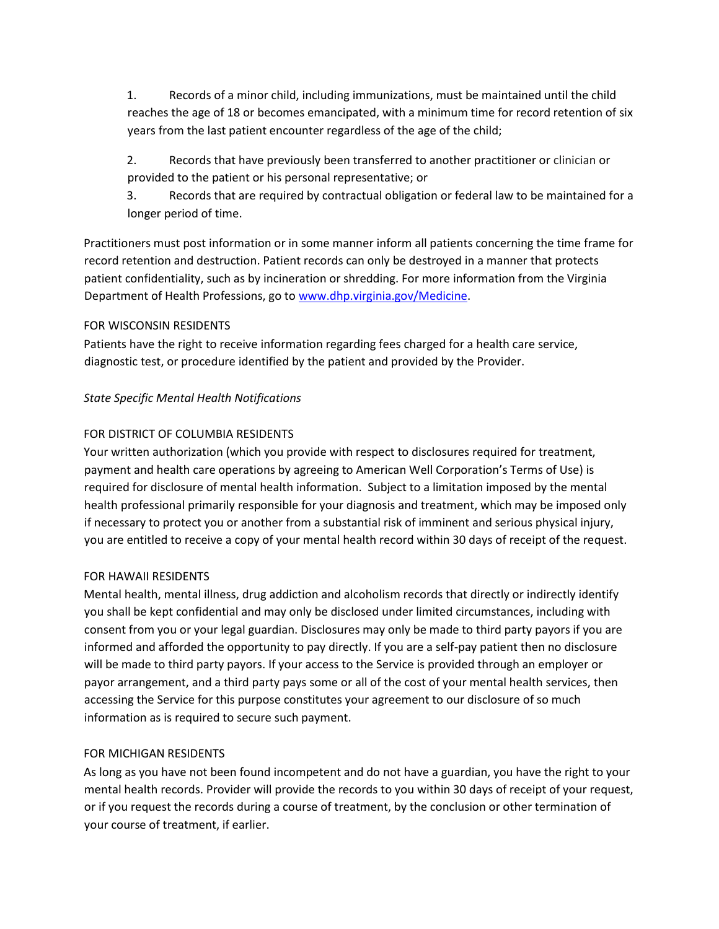1. Records of a minor child, including immunizations, must be maintained until the child reaches the age of 18 or becomes emancipated, with a minimum time for record retention of six years from the last patient encounter regardless of the age of the child;

2. Records that have previously been transferred to another practitioner or clinician or provided to the patient or his personal representative; or

3. Records that are required by contractual obligation or federal law to be maintained for a longer period of time.

Practitioners must post information or in some manner inform all patients concerning the time frame for record retention and destruction. Patient records can only be destroyed in a manner that protects patient confidentiality, such as by incineration or shredding. For more information from the Virginia Department of Health Professions, go to [www.dhp.virginia.gov/Medicine.](http://www.dhp.virginia.gov/Medicine)

# FOR WISCONSIN RESIDENTS

Patients have the right to receive information regarding fees charged for a health care service, diagnostic test, or procedure identified by the patient and provided by the Provider.

# *State Specific Mental Health Notifications*

# FOR DISTRICT OF COLUMBIA RESIDENTS

Your written authorization (which you provide with respect to disclosures required for treatment, payment and health care operations by agreeing to American Well Corporation's Terms of Use) is required for disclosure of mental health information. Subject to a limitation imposed by the mental health professional primarily responsible for your diagnosis and treatment, which may be imposed only if necessary to protect you or another from a substantial risk of imminent and serious physical injury, you are entitled to receive a copy of your mental health record within 30 days of receipt of the request.

## FOR HAWAII RESIDENTS

Mental health, mental illness, drug addiction and alcoholism records that directly or indirectly identify you shall be kept confidential and may only be disclosed under limited circumstances, including with consent from you or your legal guardian. Disclosures may only be made to third party payors if you are informed and afforded the opportunity to pay directly. If you are a self-pay patient then no disclosure will be made to third party payors. If your access to the Service is provided through an employer or payor arrangement, and a third party pays some or all of the cost of your mental health services, then accessing the Service for this purpose constitutes your agreement to our disclosure of so much information as is required to secure such payment.

## FOR MICHIGAN RESIDENTS

As long as you have not been found incompetent and do not have a guardian, you have the right to your mental health records. Provider will provide the records to you within 30 days of receipt of your request, or if you request the records during a course of treatment, by the conclusion or other termination of your course of treatment, if earlier.